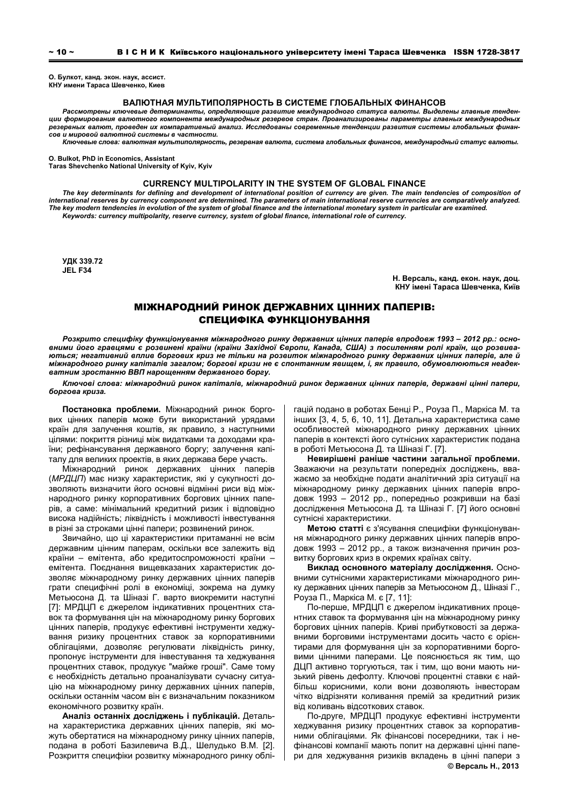$O$ . Булкот. канд. экон. наук. ассист. **Ʉɇɍ ɢɦɟɧɢ Ɍɚɪɚɫɚ ɒɟɜɱɟɧɤɨ, Ʉɢɟɜ**

## **ВАЛЮТНАЯ МУЛЬТИПОЛЯРНОСТЬ В СИСТЕМЕ ГЛОБАЛЬНЫХ ФИНАНСОВ**

Рассмотрены ключевые детерминанты, определяющие развитие международного статуса валюты. Выделены главные тенден*ɰɢɢ ɮɨɪɦɢɪɨɜɚɧɢɹ ɜɚɥɸɬɧɨɝɨ ɤɨɦɩɨɧɟɧɬɚ ɦɟɠɞɭɧɚɪɨɞɧɵɯ ɪɟɡɟɪɜɨɜ ɫɬɪɚɧ. ɉɪɨɚɧɚɥɢɡɢɪɨɜɚɧɵ ɩɚɪɚɦɟɬɪɵ ɝɥɚɜɧɵɯ ɦɟɠɞɭɧɚɪɨɞɧɵɯ* резервных валют, проведен их компаративный анализ. Исследованы современные тенденции развития системы глобальных финан $c$ <sup>o</sup> $a$  *u* мировой валютной системы в частности.

Ключевые слова: валютная мультиполярность, резервная валюта, система глобальных финансов, международный статус валюты.

#### **O. Bulkot, PhD in Economics, Assistant**

**Taras Shevchenko National University of Kyiv, Kyiv** 

#### **CURRENCY MULTIPOLARITY IN THE SYSTEM OF GLOBAL FINANCE**

The key determinants for defining and development of international position of currency are given. The main tendencies of composition of *international reserves by currency component are determined. The parameters of main international reserve currencies are comparatively analyzed. The key modern tendencies in evolution of the system of global finance and the international monetary system in particular are examined. Keywords: currency multipolarity, reserve currency, system of global finance, international role of currency.* 

**ɍȾɄ 339.72 JEL F34** 

**Н.** Версаль, канд. екон. наук, доц.  **КНУ** імені Тараса Шевченка, Київ

## МІЖНАРОДНИЙ РИНОК ДЕРЖАВНИХ ЦІННИХ ПАПЕРІВ: СПЕЦИФІКА ФУНКЦІОНУВАННЯ

Розкрито специфіку функціонування міжнародного ринку державних цінних паперів впродовж 1993 – 2012 рр.: основними його гравцями є розвинені країни (країни Західної Європи, Канада, США) з посиленням ролі країн, що розвиваються; негативний вплив боргових криз не тільки на розвиток міжнародного ринку державних цінних паперів, але й міжнародного ринку капіталів загалом; боргові кризи не є спонтанним явищем, і, як правило, обумовлюються неадек*ɜɚɬɧɢɦ ɡɪɨɫɬɚɧɧɸ ȼȼɉ ɧɚɪɨɳɟɧɧɹɦ ɞɟɪɠɚɜɧɨɝɨ ɛɨɪɝɭ.* 

Ключові слова: міжнародний ринок капіталів, міжнародний ринок державних цінних паперів, державні цінні папери,  $6$ оргова криза.

Постановка проблеми. Міжнародний ринок боргових цінних паперів може бути використаний урядами країн для залучення коштів, як правило, з наступними цілями: покриття різниці між видатками та доходами країни; рефінансування державного боргу; залучення капіталу для великих проектів, в яких держава бере участь.

Міжнародний ринок державних цінних паперів (*МРДЦП*) має низку характеристик, які у сукупності дозволяють визначити його основні відмінні риси від міжнародного ринку корпоративних боргових цінних паперів, а саме: мінімальний кредитний ризик і відповідно висока надійність; ліквідність і можливості інвестування в різні за строками цінні папери; розвинений ринок.

Звичайно, що ці характеристики притаманні не всім державним цінним паперам, оскільки все залежить від країни – емітента, або кредитоспроможності країни емітента. Поєднання вищевказаних характеристик дозволяє міжнародному ринку державних цінних паперів грати специфічні ролі в економіці, зокрема на думку Метьюсона Д. та Шіназі Г. варто виокремити наступні [7]: МРДЦП є джерелом індикативних процентних ставок та формування цін на міжнародному ринку боргових цінних паперів, продукує ефективні інструменти хеджування ризику процентних ставок за корпоративними облігаціями, дозволяє регулювати ліквідність ринку, пропонує інструменти для інвестування та хеджування процентних ставок, продукує "майже гроші". Саме тому є необхідність детально проаналізувати сучасну ситуацію на міжнародному ринку державних цінних паперів, оскільки останнім часом він є визначальним показником економічного розвитку країн.

Аналіз останніх досліджень і публікацій. Детальна характеристика державних цінних паперів, які можуть обертатися на міжнародному ринку цінних паперів, подана в роботі Базилевича В.Д., Шелудько В.М. [2]. Розкриття специфіки розвитку міжнародного ринку облігацій подано в роботах Бенці Р., Роуза П., Маркіса М. та інших [3, 4, 5, 6, 10, 11]. Детальна характеристика саме особливостей міжнародного ринку державних цінних паперів в контексті його сутнісних характеристик подана в роботі Метьюсона Д. та Шіназі Г. [7].

Невирішені раніше частини загальної проблеми. Зважаючи на результати попередніх досліджень, вважаємо за необхідне подати аналітичний зріз ситуації на міжнародному ринку державних цінних паперів впродовж 1993 – 2012 рр., попередньо розкривши на базі дослідження Метьюсона Д. та Шіназі Г. [7] його основні сутнісні характеристики.

Метою статті є з'ясування специфіки функціонування міжнародного ринку державних цінних паперів впродовж 1993 – 2012 рр., а також визначення причин розвитку боргових криз в окремих країнах світу.

Виклад основного матеріалу дослідження. Основними сутнісними характеристиками міжнародного ринку державних цінних паперів за Метьюсоном Д., Шіназі Г., Роуза П., Маркіса М. є [7, 11]:

По-перше, МРДЦП є джерелом індикативних процентних ставок та формування цін на міжнародному ринку боргових цінних паперів. Криві прибутковості за державними борговими інструментами досить часто є орієнтирами для формування цін за корпоративними борговими цінними паперами. Це пояснюється як тим, що ДЦП активно торгуються, так і тим, що вони мають низький рівень дефолту. Ключові процентні ставки є найбільш корисними, коли вони дозволяють інвесторам чітко відрізняти коливання премій за кредитний ризик від коливань відсоткових ставок.

По-друге, МРДЦП продукує ефективні інструменти хеджування ризику процентних ставок за корпоративними облігаціями. Як фінансові посередники, так і нефінансові компанії мають попит на державні цінні папери для хеджування ризиків вкладень в цінні папери з **© ȼɟɪɫɚɥɶ ɇ., 2013**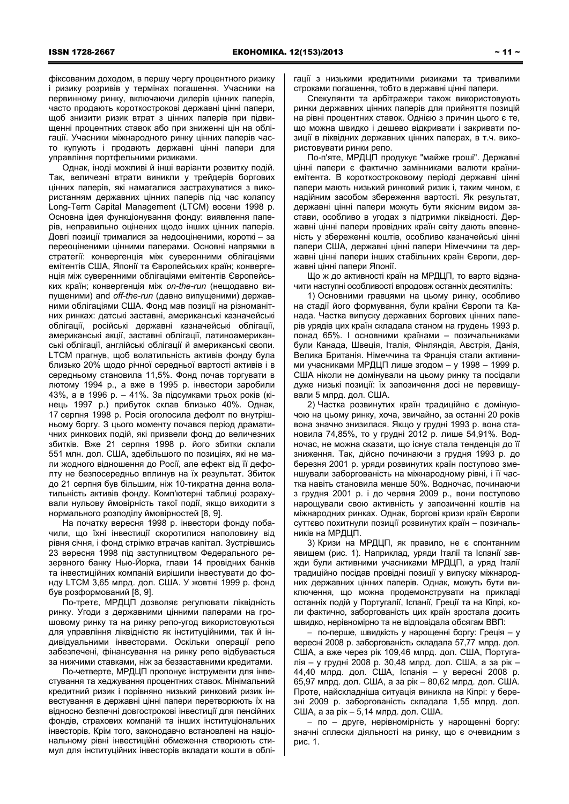фіксованим доходом, в першу чергу процентного ризику і ризику розривів у термінах погашення. Учасники на первинному ринку, включаючи дилерів цінних паперів, часто продають короткострокові державні цінні папери, щоб знизити ризик втрат з цінних паперів при підвищенні процентних ставок або при зниженні цін на облігації. Учасники міжнародного ринку цінних паперів часто купують і продають державні цінні папери для управління портфельними ризиками.

Однак, іноді можливі й інші варіанти розвитку подій. Так, величезні втрати виникли у трейдерів боргових цінних паперів, які намагалися застрахуватися з використанням державних цінних паперів під час колапсу Long-Term Capital Management (LTCM) восени 1998 р. Основна ідея функціонування фонду: виявлення паперів, неправильно оцінених щодо інших цінних паперів. Довгі позиції трималися за недооціненими, короткі - за переоціненими цінними паперами. Основні напрямки в стратегії: конвергенція між суверенними облігаціями емітентів США, Японії та Європейських країн; конвергенція між суверенними облігаціями емітентів Європейських країн; конвергенція між on-the-run (нещодавно випущеними) and off-the-run (давно випущеними) державними облігаціями США. Фонд мав позиції на різноманітних ринках: датські заставні, американські казначейські облігації, російські державні казначейські облігації, американські акції, заставні облігації, латиноамериканські облігації, англійські облігації й американські свопи. LTCM прагнув, щоб волатильність активів фонду була близько 20% щодо річної середньої вартості активів і в середньому становила 11,5%. Фонд почав торгувати в лютому 1994 р., а вже в 1995 р. інвестори заробили 43%, а в 1996 р. – 41%. За підсумками трьох років (кінець 1997 р.) прибуток склав близько 40%. Однак, 17 серпня 1998 р. Росія оголосила дефолт по внутрішньому боргу. З цього моменту почався період драматичних ринкових подій, які призвели фонд до величезних збитків. Вже 21 серпня 1998 р. його збитки склали 551 млн. дол. США, здебільшого по позиціях, які не мали жодного відношення до Росії, але ефект від її дефолту не безпосередньо вплинув на їх результат. Збиток до 21 серпня був більшим, ніж 10-тикратна денна волатильність активів фонду. Комп'ютерні таблиці розрахували нульову ймовірність такої події, якщо виходити з нормального розподілу ймовірностей [8, 9].

На початку вересня 1998 р. інвестори фонду побачили, що їхні інвестиції скоротилися наполовину від рівня січня, і фонд стрімко втрачав капітал. Зустрівшись 23 вересня 1998 під заступництвом Федерального резервного банку Нью-Йорка, глави 14 провідних банків та інвестиційних компаній вирішили інвестувати до фонду LTCM 3,65 млрд. дол. США. У жовтні 1999 р. фонд був poзформований [8, 9].

По-третє, МРДЦП дозволяє регулювати ліквідність ринку. Угоди з державними цінними паперами на грошовому ринку та на ринку репо-угод використовуються для управління ліквідністю як інституційними, так й індивідуальними інвесторами. Оскільки операції репо забезпечені, фінансування на ринку репо відбувається за нижчими ставками, ніж за беззаставними кредитами.

По-четверте, МРДЦП пропонує інструменти для інвестування та хеджування процентних ставок. Мінімальний кредитний ризик і порівняно низький ринковий ризик інвестування в державні цінні папери перетворюють їх на відносно безпечні довгострокові інвестиції для пенсійних фондів, страхових компаній та інших інституціональних інвесторів. Крім того, законодавчо встановлені на національному рівні інвестиційні обмеження створюють стимул для інституційних інвесторів вкладати кошти в облігації з низькими кредитними ризиками та тривалими строками погашення, тобто в державні цінні папери.

Спекулянти та арбітражери також використовують ринки державних цінних паперів для прийняття позицій на рівні процентних ставок. Однією з причин цього є те, що можна швидко і дешево відкривати і закривати позиції в ліквідних державних цінних паперах, в т.ч. використовувати ринки репо.

По-п'яте, МРДЦП продукує "майже гроші". Державні цінні папери є фактично замінниками валюти країниемітента. В короткостроковому періоді державні цінні папери мають низький ринковий ризик і, таким чином, є надійним засобом збереження вартості. Як результат, державні цінні папери можуть бути якісним видом застави, особливо в угодах з підтримки ліквідності. Державні цінні папери провідних країн світу дають впевненість у збереженні коштів, особливо казначейські цінні папери США, державні цінні папери Німеччини та державні цінні папери інших стабільних країн Європи, державні цінні папери Японії.

Що ж до активності країн на МРДЦП, то варто відзначити наступні особливості впродовж останніх десятиліть:

1) Основними гравцями на цьому ринку, особливо на стадії його формування. були країни Європи та Канада. Частка випуску державних боргових цінних паперів урядів цих країн складала станом на грудень 1993 р. понад 65%. І основними країнами – позичальниками були Канада, Швеція, Італія, Фінляндія, Австрія, Данія, Велика Британія. Німеччина та Франція стали активними учасниками МРДЦП лише згодом - у 1998 – 1999 р. США ніколи не домінували на цьому ринку та посідали дуже низькі позиції: їх запозичення досі не перевищували 5 млрд. дол. США.

2) Частка розвинутих країн традиційно є домінуючою на цьому ринку, хоча, звичайно, за останні 20 років вона значно знизилася. Якщо у грудні 1993 р. вона становила 74,85%, то у грудні 2012 р. лише 54,91%. Водночас, не можна сказати, що існує стала тенденція до її зниження. Так, дійсно починаючи з грудня 1993 р. до березня 2001 р. уряди розвинутих країн поступово зменшували заборгованість на міжнародному рівні, і її частка навіть становила менше 50%. Водночас, починаючи з грудня 2001 р. і до червня 2009 р., вони поступово нарощували свою активність у запозиченні коштів на міжнародних ринках. Однак, боргові кризи країн Європи суттєво похитнули позиції розвинутих країн - позичальників на МРДЦП.

3) Кризи на МРДЦП, як правило, не є спонтанним явищем (рис. 1). Наприклад, уряди Італії та Іспанії зав-ЖДИ бУЛИ АКТИВНИМИ УЧАСНИКАМИ МРДЦП, а УРЯД Італії традиційно посідав провідні позиції у випуску міжнародних державних цінних паперів. Однак, можуть бути виключення, що можна продемонструвати на прикладі останніх подій у Португалії, Іспанії, Греції та на Кіпрі, коли фактично, заборгованість цих країн зростала досить швидко, нерівномірно та не відповідала обсягам ВВП:

- по-перше, швидкість у нарощенні боргу: Греція – у вересні 2008 р. заборгованість складала 57,77 млрд. дол. США, а вже через рік 109,46 млрд. дол. США, Португалія – у грудні 2008 р. 30,48 млрд. дол. США, а за рік – 44,40 млрд. дол. США, Іспанія – у вересні 2008 р. 65,97 млрд. дол. США, а за рік – 80,62 млрд. дол. США. Проте, найскладніша ситуація виникла на Кіпрі: у березні 2009 р. заборгованість складала 1,55 млрд. дол. США, а за рік – 5,14 млрд. дол. США.

- по - друге, нерівномірність у нарощенні боргу: значні сплески діяльності на ринку, що є очевидним з **рис. 1.**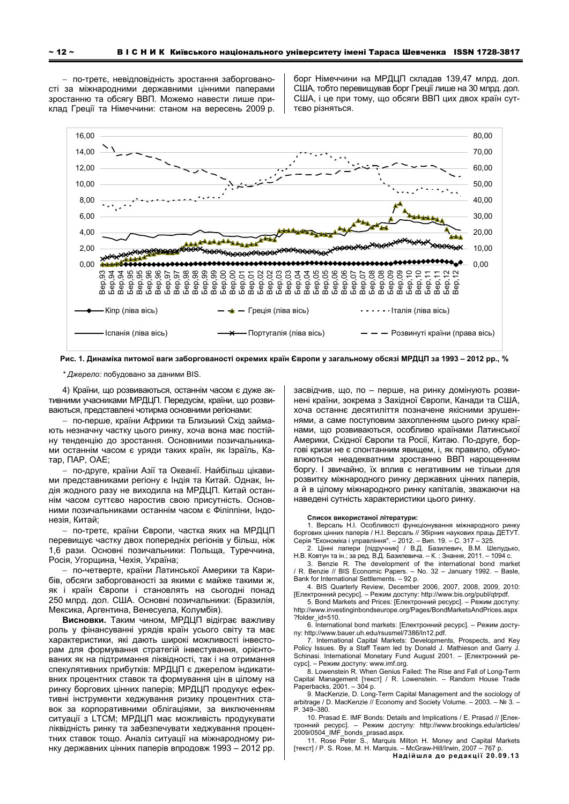- по-третє, невідповідність зростання заборгованості за міжнародними державними цінними паперами зростанню та обсягу ВВП. Можемо навести лише приклад Греції та Німеччини: станом на вересень 2009 р.

борг Німеччини на МРДЦП складав 139,47 млрд. дол. США, тобто перевищував борг Греції лише на 30 млрд. дол. США, і це при тому, що обсяги ВВП цих двох країн суттєво різняться.



Рис. 1. Динаміка питомої ваги заборгованості окремих країн Європи у загальному обсязі МРДЦП за 1993 – 2012 рр., %

**\*** Джерело: побудовано за даними BIS.

4) Країни, що розвиваються, останнім часом є дуже активними учасниками МРДЦП. Передусім, країни, що розвиваються, представлені чотирма основними регіонами:

- по-перше, країни Африки та Близький Схід займають незначну частку цього ринку, хоча вона має постійну тенденцію до зростання. Основними позичальниками останнім часом є уряди таких країн, як Ізраїль, Катар, ПАР, ОАЕ;

– по-друге, країни Азії та Океанії. Найбільш цікавими представниками регіону є Індія та Китай. Однак, Індія жодного разу не виходила на МРДЦП. Китай останнім часом суттєво наростив свою присутність. Основними позичальниками останнім часом є Філіппіни, Індонезія. Китай:

– по-третє, країни Європи, частка яких на МРДЦП перевищує частку двох попередніх регіонів у більш, ніж 1,6 рази. Основні позичальники: Польща, Туреччина, Pociя, Угорщина, Чехія, Україна;

– по-четверте, країни Латинської Америки та Карибів, обсяги заборгованості за якими є майже такими ж, як і країн Європи і становлять на сьогодні понад 250 млрд. дол. США. Основні позичальники: (Бразилія, Мексика, Аргентина, Венесуела, Колумбія).

Висновки. Таким чином, МРДЦП відіграє важливу роль у фінансуванні урядів країн усього світу та має характеристики, які дають широкі можливості інвесторам для формування стратегій інвестування, орієнтованих як на підтримання ліквідності, так і на отримання спекулятивних прибутків: МРДЦП є джерелом індикативних процентних ставок та формування цін в цілому на ринку боргових цінних паперів; МРДЦП продукує ефективні інструменти хеджування ризику процентних ставок за корпоративними облігаціями, за виключенням ситуації з LTCM; МРДЦП має можливість продукувати ліквідність ринку та забезпечувати хеджування процентних ставок тощо. Аналіз ситуації на міжнародному ринку державних цінних паперів впродовж 1993 – 2012 рр. засвідчив, що, по - перше, на ринку домінують розвинені країни, зокрема з Західної Європи, Канади та США, хоча останнє десятиліття позначене якісними зрушеннями, а саме поступовим захопленням цього ринку країнами, що розвиваються, особливо країнами Латинської Америки, Східної Європи та Росії, Китаю, По-друге, боргові кризи не є спонтанним явищем, і, як правило, обумовлюються неадекватним зростанню ВВП нарощенням боргу. І звичайно, їх вплив є негативним не тільки для розвитку міжнародного ринку державних цінних паперів, а й в цілому міжнародного ринку капіталів, зважаючи на наведені сутність характеристики цього ринку.

## Список використаної літератури:

1. Версаль Н.І. Особливості функціонування міжнародного ринку боргових цінних паперів / Н.І. Версаль // Збірник наукових праць ДЕТУТ. Серія "Економіка і управління". – 2012. – Вип. 19. – С. 317 – 325

л школовные гуправляния готовы синтистов от от одень должных гуправляния и составит со стать Н.В. Ковтун та ін.; за ред. В.Д. Базилевича. – К.: Знання, 2011. – 1094 с.

3. Benzie R. The development of the international bond market / R. Benzie // BIS Economic Papers. – No. 32 – January 1992. – Basle, Bank for International Settlements. – 92 p.

4. BIS Quarterly Review, December 2006, 2007, 2008, 2009, 2010: [Електронний ресурс]. – Режим доступу: http://www.bis.org/publ/qtrpdf.

5. Bond Markets and Prices: [Електронний ресурс]. – Режим доступу: http://www.investinginbondseurope.org/Pages/BondMarketsAndPrices.aspx ?folder\_id=510.

6. International bond markets: [Електронний ресурс]. – Режим достуny: http://www.bauer.uh.edu/rsusmel/7386/ln12.pdf.

7. International Capital Markets: Developments, Prospects, and Key Policy Issues. By a Staff Team led by Donald J. Mathieson and Garry J. Schinasi. International Monetary Fund August 2001. - [Електронний ресурс]. – Режим доступу: www.imf.org.

8. Lowenstein R. When Genius Failed: The Rise and Fall of Long-Term Capital Management [TekcT] / R. Lowenstein. – Random House Trade Paperbacks, 2001. – 304 p.

9. MacKenzie, D. Long-Term Capital Management and the sociology of arbitrage / D. MacKenzie // Economy and Society Volume. - 2003. - No 3. -P. 349–380.

10. Prasad E. IMF Bonds: Details and Implications / Е. Prasad // [Електронний ресурс]. – Режим доступу: http://www.brookings.edu/articles/ 2009/0504\_IMF\_bonds\_prasad.aspx.

11. Rose Peter S., Marquis Milton H. Money and Capital Markets [текст] / P. S. Rose, M. H. Marquis. – McGraw-Hill/Irwin, 2007 – 767 p.